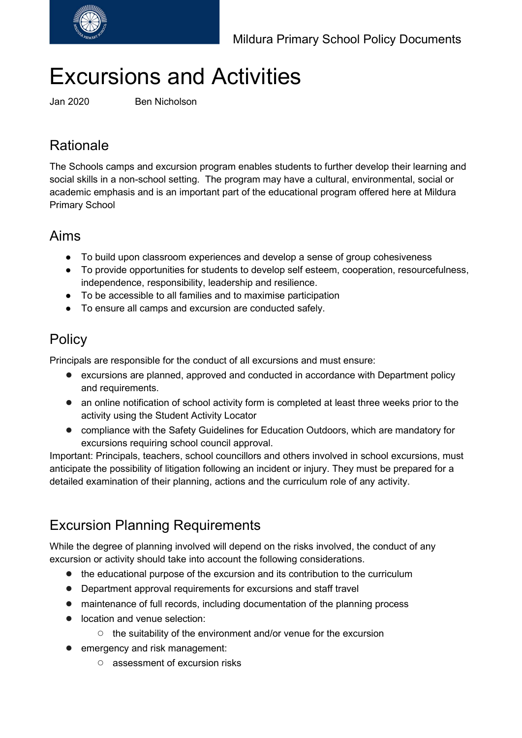

# Excursions and Activities

Jan 2020 Ben Nicholson

# Rationale

The Schools camps and excursion program enables students to further develop their learning and social skills in a non-school setting. The program may have a cultural, environmental, social or academic emphasis and is an important part of the educational program offered here at Mildura Primary School

### Aims

- To build upon classroom experiences and develop a sense of group cohesiveness
- To provide opportunities for students to develop self esteem, cooperation, resourcefulness, independence, responsibility, leadership and resilience.
- To be accessible to all families and to maximise participation
- To ensure all camps and excursion are conducted safely.

## **Policy**

Principals are responsible for the conduct of all excursions and must ensure:

- excursions are planned, approved and conducted in accordance with Department policy and requirements.
- an online notification of school activity form is completed at least three weeks prior to the activity using the Student Activity Locator
- compliance with the Safety Guidelines for Education Outdoors, which are mandatory for excursions requiring school council approval.

Important: Principals, teachers, school councillors and others involved in school excursions, must anticipate the possibility of litigation following an incident or injury. They must be prepared for a detailed examination of their planning, actions and the curriculum role of any activity.

# Excursion Planning Requirements

While the degree of planning involved will depend on the risks involved, the conduct of any excursion or activity should take into account the following considerations.

- the educational purpose of the excursion and its contribution to the curriculum
- Department approval requirements for excursions and staff travel
- maintenance of full records, including documentation of the planning process
- location and venue selection:
	- the suitability of the environment and/or venue for the excursion
- emergency and risk management:
	- assessment of excursion risks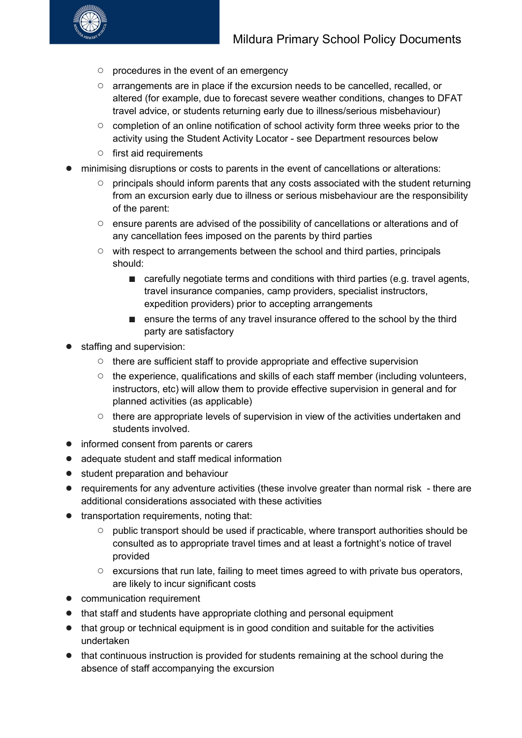

- procedures in the event of an emergency
- arrangements are in place if the excursion needs to be cancelled, recalled, or altered (for example, due to forecast severe weather conditions, changes to DFAT travel advice, or students returning early due to illness/serious misbehaviour)
- completion of an online notification of school activity form three weeks prior to the activity using the Student Activity Locator - see Department resources below
- first aid requirements
- minimising disruptions or costs to parents in the event of cancellations or alterations:
	- principals should inform parents that any costs associated with the student returning from an excursion early due to illness or serious misbehaviour are the responsibility of the parent:
	- ensure parents are advised of the possibility of cancellations or alterations and of any cancellation fees imposed on the parents by third parties
	- with respect to arrangements between the school and third parties, principals should:
		- carefully negotiate terms and conditions with third parties (e.g. travel agents, travel insurance companies, camp providers, specialist instructors, expedition providers) prior to accepting arrangements
		- ensure the terms of any travel insurance offered to the school by the third party are satisfactory
- staffing and supervision:
	- there are sufficient staff to provide appropriate and effective supervision
	- $\circ$  the experience, qualifications and skills of each staff member (including volunteers, instructors, etc) will allow them to provide effective supervision in general and for planned activities (as applicable)
	- there are appropriate levels of supervision in view of the activities undertaken and students involved.
- informed consent from parents or carers
- adequate student and staff medical information
- student preparation and behaviour
- requirements for any adventure activities (these involve greater than normal risk there are additional considerations associated with these activities
- transportation requirements, noting that:
	- public transport should be used if practicable, where transport authorities should be consulted as to appropriate travel times and at least a fortnight's notice of travel provided
	- excursions that run late, failing to meet times agreed to with private bus operators, are likely to incur significant costs
- communication requirement
- that staff and students have appropriate clothing and personal equipment
- that group or technical equipment is in good condition and suitable for the activities undertaken
- that continuous instruction is provided for students remaining at the school during the absence of staff accompanying the excursion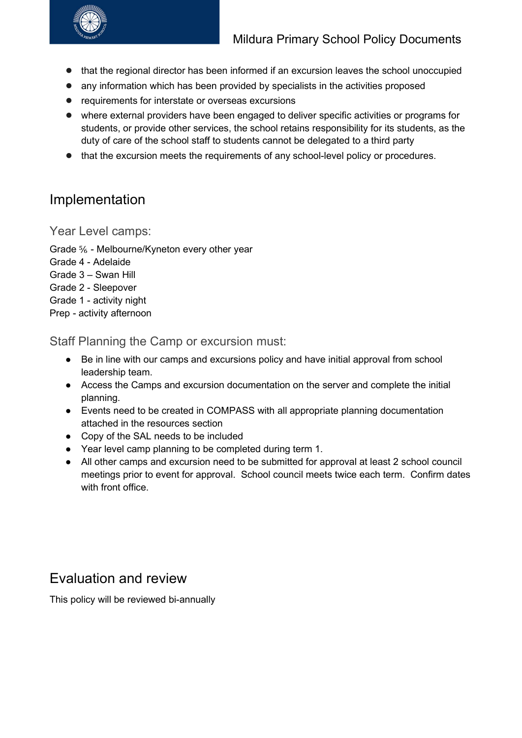

- that the regional director has been informed if an excursion leaves the school unoccupied
- any information which has been provided by specialists in the activities proposed
- requirements for interstate or overseas excursions
- where external providers have been engaged to deliver specific activities or programs for students, or provide other services, the school retains responsibility for its students, as the duty of care of the school staff to students cannot be delegated to a third party
- that the excursion meets the requirements of any school-level policy or procedures.

## Implementation

Year Level camps:

- Grade ⅚ Melbourne/Kyneton every other year
- Grade 4 Adelaide
- Grade 3 Swan Hill
- Grade 2 Sleepover
- Grade 1 activity night
- Prep activity afternoon

Staff Planning the Camp or excursion must:

- Be in line with our camps and excursions policy and have initial approval from school leadership team.
- Access the Camps and excursion documentation on the server and complete the initial planning.
- Events need to be created in COMPASS with all appropriate planning documentation attached in the resources section
- Copy of the SAL needs to be included
- Year level camp planning to be completed during term 1.
- All other camps and excursion need to be submitted for approval at least 2 school council meetings prior to event for approval. School council meets twice each term. Confirm dates with front office.

#### Evaluation and review

This policy will be reviewed bi-annually